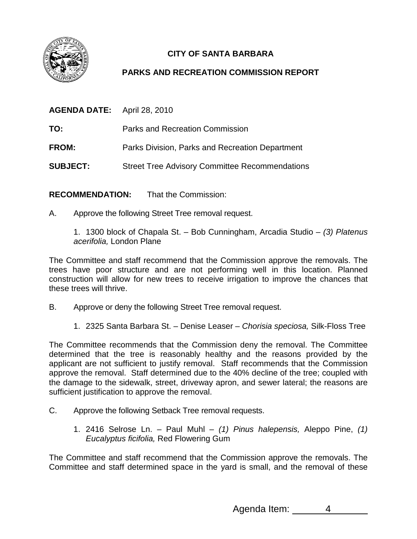

## **CITY OF SANTA BARBARA**

## **PARKS AND RECREATION COMMISSION REPORT**

| <b>AGENDA DATE:</b> | April 28, 2010                                        |
|---------------------|-------------------------------------------------------|
| TO:                 | Parks and Recreation Commission                       |
| <b>FROM:</b>        | Parks Division, Parks and Recreation Department       |
| <b>SUBJECT:</b>     | <b>Street Tree Advisory Committee Recommendations</b> |

**RECOMMENDATION:** That the Commission:

A. Approve the following Street Tree removal request.

1. 1300 block of Chapala St. – Bob Cunningham, Arcadia Studio – (3) Platenus acerifolia, London Plane

The Committee and staff recommend that the Commission approve the removals. The trees have poor structure and are not performing well in this location. Planned construction will allow for new trees to receive irrigation to improve the chances that these trees will thrive.

- B. Approve or deny the following Street Tree removal request.
	- 1. 2325 Santa Barbara St. Denise Leaser Chorisia speciosa, Silk-Floss Tree

The Committee recommends that the Commission deny the removal. The Committee determined that the tree is reasonably healthy and the reasons provided by the applicant are not sufficient to justify removal. Staff recommends that the Commission approve the removal. Staff determined due to the 40% decline of the tree; coupled with the damage to the sidewalk, street, driveway apron, and sewer lateral; the reasons are sufficient justification to approve the removal.

- C. Approve the following Setback Tree removal requests.
	- 1. 2416 Selrose Ln. Paul Muhl (1) Pinus halepensis, Aleppo Pine, (1) Eucalyptus ficifolia, Red Flowering Gum

The Committee and staff recommend that the Commission approve the removals. The Committee and staff determined space in the yard is small, and the removal of these

Agenda Item: 4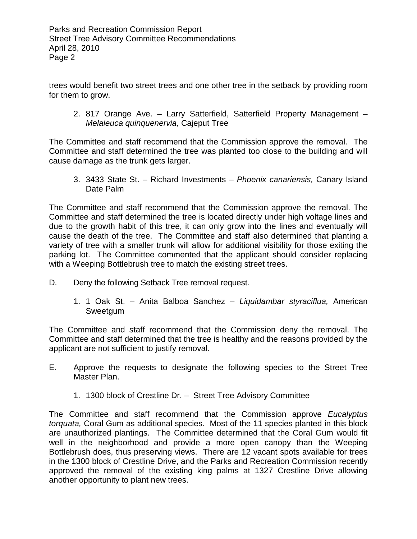trees would benefit two street trees and one other tree in the setback by providing room for them to grow.

2. 817 Orange Ave. – Larry Satterfield, Satterfield Property Management – Melaleuca quinquenervia, Cajeput Tree

The Committee and staff recommend that the Commission approve the removal. The Committee and staff determined the tree was planted too close to the building and will cause damage as the trunk gets larger.

3. 3433 State St. – Richard Investments – Phoenix canariensis, Canary Island Date Palm

The Committee and staff recommend that the Commission approve the removal. The Committee and staff determined the tree is located directly under high voltage lines and due to the growth habit of this tree, it can only grow into the lines and eventually will cause the death of the tree. The Committee and staff also determined that planting a variety of tree with a smaller trunk will allow for additional visibility for those exiting the parking lot. The Committee commented that the applicant should consider replacing with a Weeping Bottlebrush tree to match the existing street trees.

- D. Deny the following Setback Tree removal request.
	- 1. 1 Oak St. Anita Balboa Sanchez Liquidambar styraciflua, American Sweetgum

The Committee and staff recommend that the Commission deny the removal. The Committee and staff determined that the tree is healthy and the reasons provided by the applicant are not sufficient to justify removal.

- E. Approve the requests to designate the following species to the Street Tree Master Plan.
	- 1. 1300 block of Crestline Dr. Street Tree Advisory Committee

The Committee and staff recommend that the Commission approve *Eucalyptus* torquata, Coral Gum as additional species. Most of the 11 species planted in this block are unauthorized plantings. The Committee determined that the Coral Gum would fit well in the neighborhood and provide a more open canopy than the Weeping Bottlebrush does, thus preserving views. There are 12 vacant spots available for trees in the 1300 block of Crestline Drive, and the Parks and Recreation Commission recently approved the removal of the existing king palms at 1327 Crestline Drive allowing another opportunity to plant new trees.